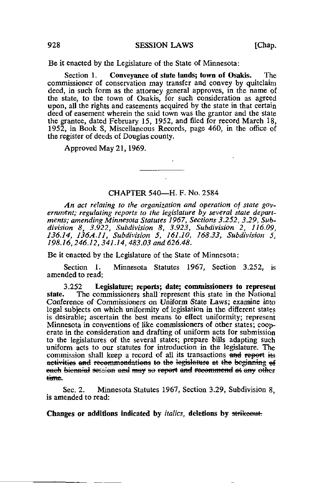Be it enacted by the Legislature of the State of Minnesota:

Section 1. Conveyance of state lands; town of Osakis. The commissioner of conservation may transfer and convey by quitclaim deed, in such form as the attorney general approves, in the name of the state, to the town of Osakis, for such consideration as agreed upon, all the rights and easements acquired by the state in that certain deed of easement wherein the said town was the grantor and the state the grantee, dated February 15, 1952, and filed for record March 18, 1952, in Book S, Miscellaneous Records, page 460, in the office of the register of deeds of Douglas county.

Approved May 21,1969.

## CHAPTER 540— H. F. No. 2584

An act relating to the organization and operation of state government; regulating reports to the legislature by several state departments; amending Minnesota Statutes 1967, Sections 3.252, 3.29, Subdivision 8, 3.922, Subdivision 8, 3.923, Subdivision 2, 116.09, 136.14, 136A.ll, Subdivision 5, 161.10, 168.33, Subdivision 5, 198.16, 246.12, 341.14, 483.03 and 626.48.

Be it enacted by the Legislature of the State of Minnesota :

Section 1. Minnesota Statutes 1967, Section 3.252, is amended to read:

3.252 Legislature; reports; date; commissioners to represent state. The commissioners shall represent this state in the National The commissioners shall represent this state in the National Conference of Commissioners on Uniform State Laws; examine into legal subjects on which uniformity of legislation in the different states is desirable; ascertain the best means to effect uniformity; represent Minnesota in conventions of like commissioners of other states; cooperate in the consideration and drafting of uniform acts for submission to the legislatures of the several states; prepare bills adapting such uniform acts to our statutes for introduction in the legislature. The commission shall keep a record of all its transactions and report its activities and recommondations to the legislature at the boginning of each biennial session and may so report and recommend at any other<br>time.

Sec. 2. Minnesota Statutes 1967, Section 3.29, Subdivision 8, is amended to read: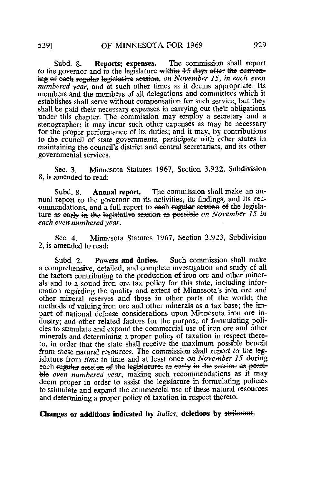Subd. 8. Reports; expenses. The commission shall report to the governor and to the legislature within  $+5$  days after the eenvening of each regular legislative session, on November 15, in each even numbered year, and at such other times as it deems appropriate. Its members and the members of all delegations and committees which it establishes shall serve without compensation for such service, but they shall be paid their necessary expenses in carrying out their obligations under this chapter. The commission may employ a secretary and a stenographer; it may incur such other expenses as may be necessary for the proper performance of its duties; and it may, by contributions to the council of state governments, participate with other states in maintaining the council's district and central secretariats, and its other governmental services.

Sec. 3. Minnesota Statutes 1967, Section 3.922, Subdivision 8, is amended to read:

Subd. 8. Annual report. The commission shall make an annual report to the governor on its activities, its findings, and its recommendations, and a full report to each regular session of the legislature as early in the legislative session as possible on November  $\overline{15}$  in each even numbered year.

Sec. 4. Minnesota Statutes 1967, Section 3.923, Subdivision 2, is amended to read:

Subd. 2. Powers and duties. Such commission shall make a comprehensive, detailed, and complete investigation and study of all the factors contributing to the production of iron ore and other minerals and to a sound iron ore tax policy for this state, including information regarding the quality and extent of Minnesota's iron ore and other mineral reserves and those in other parts of the world; the methods of valuing iron ore and other minerals as a tax base; the impact of national defense considerations upon Minnesota iron ore industry; and other related factors for the purpose of formulating policies to stimulate and expand the commercial use of iron ore and other minerals and determining a proper policy of taxation in respect thereto, in order that the state shall receive the maximum possible benefit from these natural resources. The commission shall report to the legislature from time to time and at least once on November 15 during each regular session of the legislature, as early in the session as possible even numbered year, making such recommendations as it may deem proper in order to assist the legislature in formulating policies to stimulate and expand the commercial use of these natural resources and determining a proper policy of taxation in respect thereto.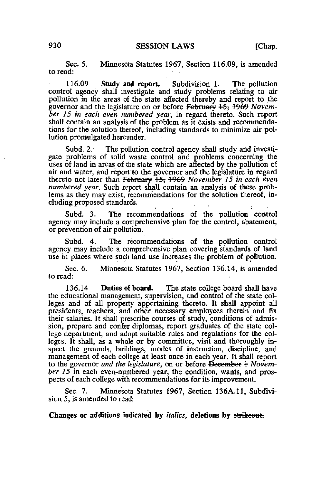Sec. 5. Minnesota Statutes 1967, Section 116.09, is amended to read:

116.09 Study and report. Subdivision 1. The pollution control agency shall investigate and study problems relating to air pollution in the areas of the state affected thereby and report to the governor and the legislature on or before February 15, 1969 November 15 in each even numbered year, in regard thereto. Such report shall contain an analysis of the problem as it exists and recommendations for the solution thereof, including standards to minimize air pollution promulgated hereunder.

Subd. 2. The pollution control agency shall study and investigate problems of solid waste control and problems concerning the uses of land in areas of the state which are affected by the pollution of air and water, and report'to the governor and the legislature in regard thereto not later than February  $\frac{15}{15}$ ,  $\frac{1969}{1960}$  November 15 in each even numbered year. Such report shall contain an analysis of these problems as they may exist, recommendations for the solution thereof, including proposed standards.

Subd. 3. The recommendations of the pollution control agency may include a comprehensive plan for the control, abatement, or prevention of air pollution.

Subd. 4. The recommendations of the pollution control agency may include a comprehensive plan covering standards of land use in places where such land use increases the problem of pollution.

Sec. 6. Minnesota Statutes 1967, Section 136.14, is amended to read:

136.14 Duties of board. The state college board shall have the educational management, supervision, and control of the state colleges and of all property appertaining thereto. It shall appoint all presidents, teachers, and other necessary employees therein and fix their salaries. It shall prescribe courses of study, conditions of admission, prepare and confer diplomas, report graduates of the state college department, and adopt suitable rules and regulations for the colleges. It shall, as a whole or by committee, visit and thoroughly inspect the grounds, buildings, modes of instruction, discipline, and management of each college at least once in each year. It shall report to the governor and the legislature, on or before  $D$  becomber  $+$  November  $15$  in each even-numbered year, the condition, wants, and prospects of each college with recommendations for its improvement.

Sec. 7. Minnesota Statutes 1967, Section 136A.11, Subdivision 5, is amended to read: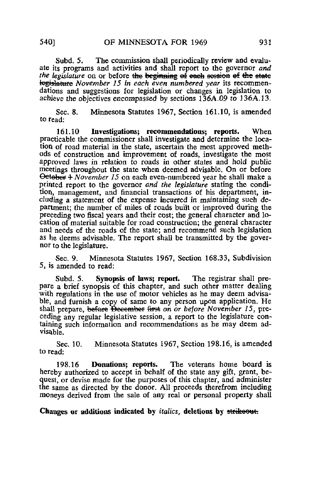Subd. 5. The commission shall periodically review and evaluate its programs and activities and shall report to the governor and the legislature on or before the beginning of each session of the state togislature November 15 in each even numbered year its recommendations and suggestions for legislation or changes in legislation to achieve the objectives encompassed by sections 136A.09 to 136A.13.

Sec. 8. Minnesota Statutes 1967, Section 161.10, is amended to read:

161.10 Investigations; recommendations; reports. When practicable the commissioner shall investigate and determine the location of road material in the state, ascertain the most approved methods of construction and improvement of roads, investigate the most approved laws in relation to roads in other states and hold public meetings throughout the state when deemed advisable. On or before Oetober 4 *November 15* on each even-numbered year he shall make a printed report to the governor and the legislature stating the condition, management, and financial transactions of his department, including a statement of the expense incurred in maintaining such department; the number of miles of roads built or improved during the preceding two fiscal years and their cost; the general character and location of material suitable for road construction; the general character and needs of the roads of the state; and recommend such legislation as he deems advisable. The report shall be transmitted by the governor to the legislature.

Sec. 9. Minnesota Statutes 1967, Section 168.33, Subdivision 5, is amended to read:

Subd. 5. Synopsis of laws; report. The registrar shall prepare a brief synopsis of this chapter, and such other matter dealing with regulations in the use of motor vehicles as he may deem advisable, and furnish a copy of same to any person upon application. He shall prepare, before Becember first on or before November 15, preceding any regular legislative session, a report to the legislature containing such information and recommendations as he may deem advisable.

Sec. 10. Minnesota Statutes 1967, Section 198.16, is amended to read:

198.16 Donations; reports. The veterans home board is hereby authorized to accept in behalf of the state any gift, grant, bequest, or devise made for the purposes of this chapter, and administer the same as directed by the donor. All proceeds therefrom including moneys derived from the sale of any real or personal property shall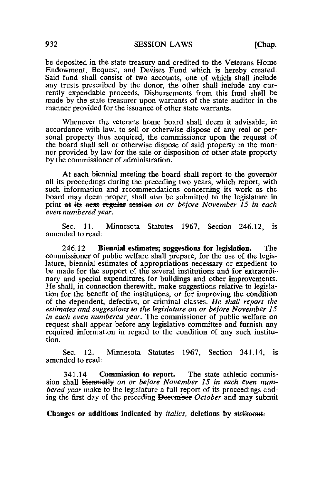be deposited in the state treasury and credited to the Veterans Home Endowment, Bequest, and Devises Fund which is hereby created. Said fund shall consist of two accounts, one of which shall include any trusts prescribed by the donor, the other shall include any currently expendable proceeds. Disbursements from this fund shall be made by the state treasurer upon warrants of the state auditor in the manner provided for the issuance of other state warrants.

Whenever the veterans home board shall deem it advisable, in accordance with law, to sell or otherwise dispose of any real or personal property thus acquired, the commissioner upon the request of the board shall sell or otherwise dispose of said property in the manner provided by law for the sale or disposition of other state property by the commissioner of administration.

At each biennial meeting the board shall report to the governor all its proceedings during the preceding two years, which report, with such information and recommendations concerning its work as the board may deem proper, shall also be submitted to the legislature in print at its next regular session on or before November 15 in each even numbered year.

Sec. 11. Minnesota Statutes 1967, Section 246.12, is amended to read:

246.12 Biennial estimates; suggestions for legislation. The commissioner of public welfare shall prepare, for the use of the legislature, biennial estimates of appropriations necessary or expedient to be made for the support of the several institutions and for extraordinary and special expenditures for buildings and other improvements. He shall, in connection therewith, make suggestions relative to legislation for the benefit of the institutions, or for improving the condition of the dependent, defective, or criminal classes. He shall report the estimates and suggestions to the legislature on or before November 15 in each even numbered year. The commissioner of public welfare on request shall appear before any legislative committee and furnish any required information in regard to the condition of any such institution.

Sec. 12. Minnesota Statutes 1967, Section 341.14, is amended to read:

341.14 Commission to report. The state athletic commission shall biennially on or before November 15 in each even numbered year make to the legislature a full report of its proceedings ending the first day of the preceding December October and may submit